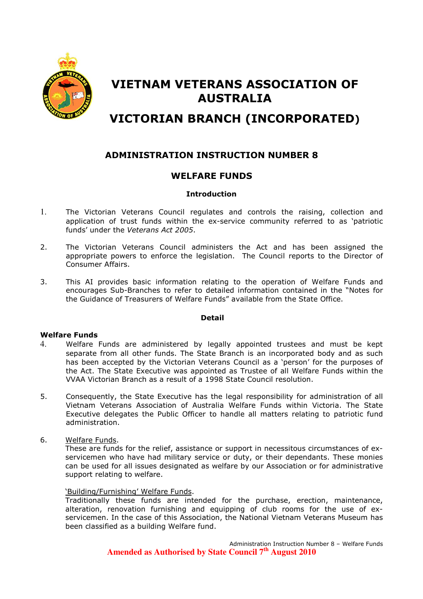

# VIETNAM VETERANS ASSOCIATION OF AUSTRALIA

# VICTORIAN BRANCH (INCORPORATED)

## ADMINISTRATION INSTRUCTION NUMBER 8

## WELFARE FUNDS

#### Introduction

- 1. The Victorian Veterans Council regulates and controls the raising, collection and application of trust funds within the ex-service community referred to as 'patriotic funds' under the Veterans Act 2005.
- 2. The Victorian Veterans Council administers the Act and has been assigned the appropriate powers to enforce the legislation. The Council reports to the Director of Consumer Affairs.
- 3. This AI provides basic information relating to the operation of Welfare Funds and encourages Sub-Branches to refer to detailed information contained in the "Notes for the Guidance of Treasurers of Welfare Funds" available from the State Office.

#### Detail

#### Welfare Funds

- 4. Welfare Funds are administered by legally appointed trustees and must be kept separate from all other funds. The State Branch is an incorporated body and as such has been accepted by the Victorian Veterans Council as a 'person' for the purposes of the Act. The State Executive was appointed as Trustee of all Welfare Funds within the VVAA Victorian Branch as a result of a 1998 State Council resolution.
- 5. Consequently, the State Executive has the legal responsibility for administration of all Vietnam Veterans Association of Australia Welfare Funds within Victoria. The State Executive delegates the Public Officer to handle all matters relating to patriotic fund administration.
- 6. Welfare Funds.

These are funds for the relief, assistance or support in necessitous circumstances of exservicemen who have had military service or duty, or their dependants. These monies can be used for all issues designated as welfare by our Association or for administrative support relating to welfare.

#### 'Building/Furnishing' Welfare Funds.

Traditionally these funds are intended for the purchase, erection, maintenance, alteration, renovation furnishing and equipping of club rooms for the use of exservicemen. In the case of this Association, the National Vietnam Veterans Museum has been classified as a building Welfare fund.